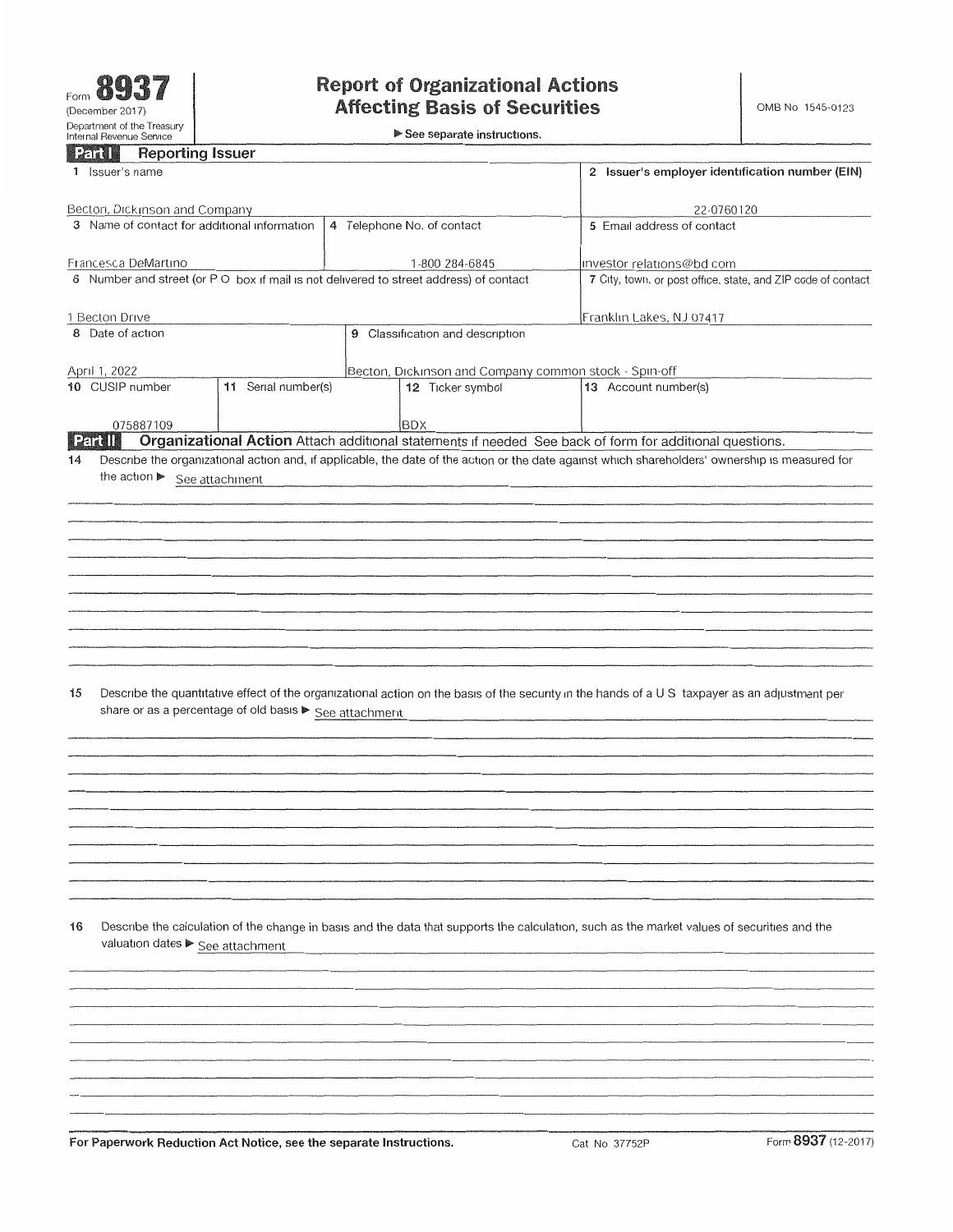**See separate instructions.**

### **Reporting Issuer**

| <b>HOPPILING</b> ISSUED                                                                |                     |                                                              |                                                                                                                                                 |  |
|----------------------------------------------------------------------------------------|---------------------|--------------------------------------------------------------|-------------------------------------------------------------------------------------------------------------------------------------------------|--|
| 1 Issuer's name                                                                        |                     | 2 Issuer's employer identification number (EIN)              |                                                                                                                                                 |  |
| Becton, Dickinson and Company                                                          |                     |                                                              |                                                                                                                                                 |  |
| 3 Name of contact for additional information                                           |                     | 22-0760120<br>5 Email address of contact                     |                                                                                                                                                 |  |
|                                                                                        |                     | 4 Telephone No. of contact                                   |                                                                                                                                                 |  |
| Francesca DeMartino                                                                    |                     | 1-800 284-6845                                               | investor relations@bd com                                                                                                                       |  |
| 6 Number and street (or P O box if mail is not delivered to street address) of contact |                     | 7 City, town, or post office, state, and ZIP code of contact |                                                                                                                                                 |  |
|                                                                                        |                     |                                                              |                                                                                                                                                 |  |
| 1 Becton Drive                                                                         |                     | Franklin Lakes, NJ 07417                                     |                                                                                                                                                 |  |
| 8 Date of action                                                                       |                     | 9 Classification and description                             |                                                                                                                                                 |  |
| April 1, 2022                                                                          |                     | Becton, Dickinson and Company common stock - Spin-off        |                                                                                                                                                 |  |
| 10 CUSIP number                                                                        | 11 Serial number(s) | 12 Ticker symbol                                             | 13 Account number(s)                                                                                                                            |  |
| 075887109                                                                              |                     | <b>BDX</b>                                                   |                                                                                                                                                 |  |
| <b>Partill</b>                                                                         |                     |                                                              | Organizational Action Attach additional statements if needed See back of form for additional questions.                                         |  |
| 14                                                                                     |                     |                                                              | Describe the organizational action and, if applicable, the date of the action or the date against which shareholders' ownership is measured for |  |
| the action See attachment                                                              |                     |                                                              |                                                                                                                                                 |  |
|                                                                                        |                     |                                                              |                                                                                                                                                 |  |
|                                                                                        |                     |                                                              |                                                                                                                                                 |  |
|                                                                                        |                     |                                                              |                                                                                                                                                 |  |
|                                                                                        |                     |                                                              |                                                                                                                                                 |  |
|                                                                                        |                     |                                                              |                                                                                                                                                 |  |
|                                                                                        |                     |                                                              |                                                                                                                                                 |  |
|                                                                                        |                     |                                                              |                                                                                                                                                 |  |
|                                                                                        |                     |                                                              |                                                                                                                                                 |  |
|                                                                                        |                     |                                                              |                                                                                                                                                 |  |
|                                                                                        |                     |                                                              |                                                                                                                                                 |  |
| 15                                                                                     |                     |                                                              | Describe the quantitative effect of the organizational action on the basis of the security in the hands of a US taxpayer as an adjustment per   |  |
| share or as a percentage of old basis > See attachment                                 |                     |                                                              |                                                                                                                                                 |  |
|                                                                                        |                     |                                                              |                                                                                                                                                 |  |
|                                                                                        |                     |                                                              |                                                                                                                                                 |  |
|                                                                                        |                     |                                                              |                                                                                                                                                 |  |
|                                                                                        |                     |                                                              |                                                                                                                                                 |  |
|                                                                                        |                     |                                                              |                                                                                                                                                 |  |
|                                                                                        |                     |                                                              |                                                                                                                                                 |  |
|                                                                                        |                     |                                                              |                                                                                                                                                 |  |
|                                                                                        |                     |                                                              |                                                                                                                                                 |  |
|                                                                                        |                     |                                                              |                                                                                                                                                 |  |
|                                                                                        |                     |                                                              |                                                                                                                                                 |  |
| 16                                                                                     |                     |                                                              | Describe the calculation of the change in basis and the data that supports the calculation, such as the market values of securities and the     |  |
| valuation dates > See attachment                                                       |                     |                                                              |                                                                                                                                                 |  |
|                                                                                        |                     |                                                              |                                                                                                                                                 |  |
|                                                                                        |                     |                                                              |                                                                                                                                                 |  |
|                                                                                        |                     |                                                              |                                                                                                                                                 |  |
|                                                                                        |                     |                                                              |                                                                                                                                                 |  |
|                                                                                        |                     |                                                              |                                                                                                                                                 |  |
|                                                                                        |                     |                                                              |                                                                                                                                                 |  |
|                                                                                        |                     |                                                              |                                                                                                                                                 |  |
|                                                                                        |                     |                                                              |                                                                                                                                                 |  |
|                                                                                        |                     |                                                              |                                                                                                                                                 |  |
|                                                                                        |                     |                                                              |                                                                                                                                                 |  |
|                                                                                        |                     |                                                              | <b>AAA</b> <sup>m</sup>                                                                                                                         |  |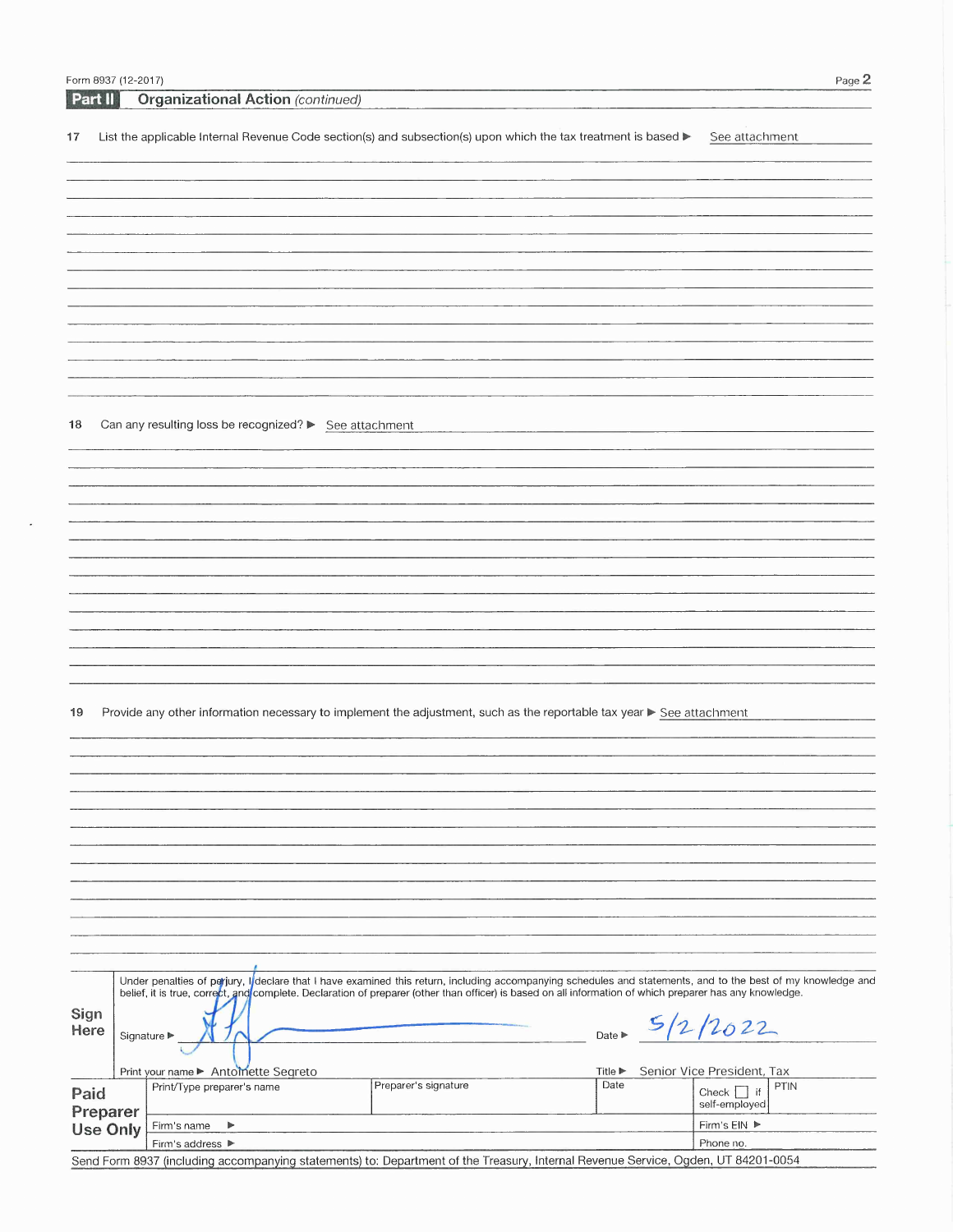|                                                               | Form 8937 (12-2017) |  |                                                                                                                                                              |                 | Page 2                             |  |  |
|---------------------------------------------------------------|---------------------|--|--------------------------------------------------------------------------------------------------------------------------------------------------------------|-----------------|------------------------------------|--|--|
| Part II                                                       |                     |  | <b>Organizational Action (continued)</b>                                                                                                                     |                 |                                    |  |  |
|                                                               |                     |  |                                                                                                                                                              |                 |                                    |  |  |
| 17                                                            |                     |  | List the applicable Internal Revenue Code section(s) and subsection(s) upon which the tax treatment is based $\blacktriangleright$                           |                 | See attachment                     |  |  |
|                                                               |                     |  |                                                                                                                                                              |                 |                                    |  |  |
|                                                               |                     |  |                                                                                                                                                              |                 |                                    |  |  |
|                                                               |                     |  |                                                                                                                                                              |                 |                                    |  |  |
|                                                               |                     |  |                                                                                                                                                              |                 |                                    |  |  |
|                                                               |                     |  |                                                                                                                                                              |                 |                                    |  |  |
|                                                               |                     |  |                                                                                                                                                              |                 |                                    |  |  |
|                                                               |                     |  |                                                                                                                                                              |                 |                                    |  |  |
|                                                               |                     |  |                                                                                                                                                              |                 |                                    |  |  |
|                                                               |                     |  |                                                                                                                                                              |                 |                                    |  |  |
|                                                               |                     |  |                                                                                                                                                              |                 |                                    |  |  |
|                                                               |                     |  |                                                                                                                                                              |                 |                                    |  |  |
|                                                               |                     |  |                                                                                                                                                              |                 |                                    |  |  |
|                                                               |                     |  |                                                                                                                                                              |                 |                                    |  |  |
|                                                               |                     |  |                                                                                                                                                              |                 |                                    |  |  |
|                                                               |                     |  |                                                                                                                                                              |                 |                                    |  |  |
|                                                               |                     |  |                                                                                                                                                              |                 |                                    |  |  |
|                                                               |                     |  |                                                                                                                                                              |                 |                                    |  |  |
| 18                                                            |                     |  | Can any resulting loss be recognized? > See attachment                                                                                                       |                 |                                    |  |  |
|                                                               |                     |  |                                                                                                                                                              |                 |                                    |  |  |
|                                                               |                     |  |                                                                                                                                                              |                 |                                    |  |  |
|                                                               |                     |  |                                                                                                                                                              |                 |                                    |  |  |
|                                                               |                     |  |                                                                                                                                                              |                 |                                    |  |  |
|                                                               |                     |  |                                                                                                                                                              |                 |                                    |  |  |
|                                                               |                     |  |                                                                                                                                                              |                 |                                    |  |  |
|                                                               |                     |  |                                                                                                                                                              |                 |                                    |  |  |
|                                                               |                     |  |                                                                                                                                                              |                 |                                    |  |  |
|                                                               |                     |  |                                                                                                                                                              |                 |                                    |  |  |
|                                                               |                     |  |                                                                                                                                                              |                 |                                    |  |  |
|                                                               |                     |  |                                                                                                                                                              |                 |                                    |  |  |
|                                                               |                     |  |                                                                                                                                                              |                 |                                    |  |  |
|                                                               |                     |  |                                                                                                                                                              |                 |                                    |  |  |
|                                                               |                     |  |                                                                                                                                                              |                 |                                    |  |  |
|                                                               |                     |  |                                                                                                                                                              |                 |                                    |  |  |
|                                                               |                     |  |                                                                                                                                                              |                 |                                    |  |  |
| 19                                                            |                     |  | Provide any other information necessary to implement the adjustment, such as the reportable tax year ▶ See attachment                                        |                 |                                    |  |  |
|                                                               |                     |  |                                                                                                                                                              |                 |                                    |  |  |
|                                                               |                     |  |                                                                                                                                                              |                 |                                    |  |  |
|                                                               |                     |  |                                                                                                                                                              |                 |                                    |  |  |
|                                                               |                     |  |                                                                                                                                                              |                 |                                    |  |  |
|                                                               |                     |  |                                                                                                                                                              |                 |                                    |  |  |
|                                                               |                     |  |                                                                                                                                                              |                 |                                    |  |  |
|                                                               |                     |  |                                                                                                                                                              |                 |                                    |  |  |
|                                                               |                     |  |                                                                                                                                                              |                 |                                    |  |  |
|                                                               |                     |  |                                                                                                                                                              |                 |                                    |  |  |
|                                                               |                     |  |                                                                                                                                                              |                 |                                    |  |  |
|                                                               |                     |  |                                                                                                                                                              |                 |                                    |  |  |
|                                                               |                     |  |                                                                                                                                                              |                 |                                    |  |  |
|                                                               |                     |  |                                                                                                                                                              |                 |                                    |  |  |
|                                                               |                     |  |                                                                                                                                                              |                 |                                    |  |  |
|                                                               |                     |  |                                                                                                                                                              |                 |                                    |  |  |
|                                                               |                     |  |                                                                                                                                                              |                 |                                    |  |  |
|                                                               |                     |  | Under penalties of perjury, I declare that I have examined this return, including accompanying schedules and statements, and to the best of my knowledge and |                 |                                    |  |  |
|                                                               |                     |  | belief, it is true, correct, and complete. Declaration of preparer (other than officer) is based on all information of which preparer has any knowledge.     |                 |                                    |  |  |
| Sign                                                          |                     |  |                                                                                                                                                              |                 |                                    |  |  |
| 5/2/2022<br>Here<br>Date $\blacktriangleright$<br>Signature ▶ |                     |  |                                                                                                                                                              |                 |                                    |  |  |
|                                                               |                     |  |                                                                                                                                                              |                 |                                    |  |  |
|                                                               |                     |  |                                                                                                                                                              |                 |                                    |  |  |
|                                                               |                     |  | Print your name ▶ Antomette Segreto<br>Preparer's signature                                                                                                  | Title ▶<br>Date | Senior Vice President, Tax<br>PTIN |  |  |
| Paid                                                          |                     |  | Print/Type preparer's name                                                                                                                                   |                 | Check $\vert$ if                   |  |  |
|                                                               | Preparer            |  |                                                                                                                                                              |                 | self-employed                      |  |  |
|                                                               | <b>Use Only</b>     |  | Firm's name<br>$\blacktriangleright$                                                                                                                         |                 | Firm's EIN ▶                       |  |  |
|                                                               |                     |  | Firm's address ▶                                                                                                                                             |                 | Phone no.                          |  |  |
|                                                               |                     |  | Send Form 8937 (including accompanying statements) to: Department of the Treasury, Internal Revenue Service, Ogden, UT 84201-0054                            |                 |                                    |  |  |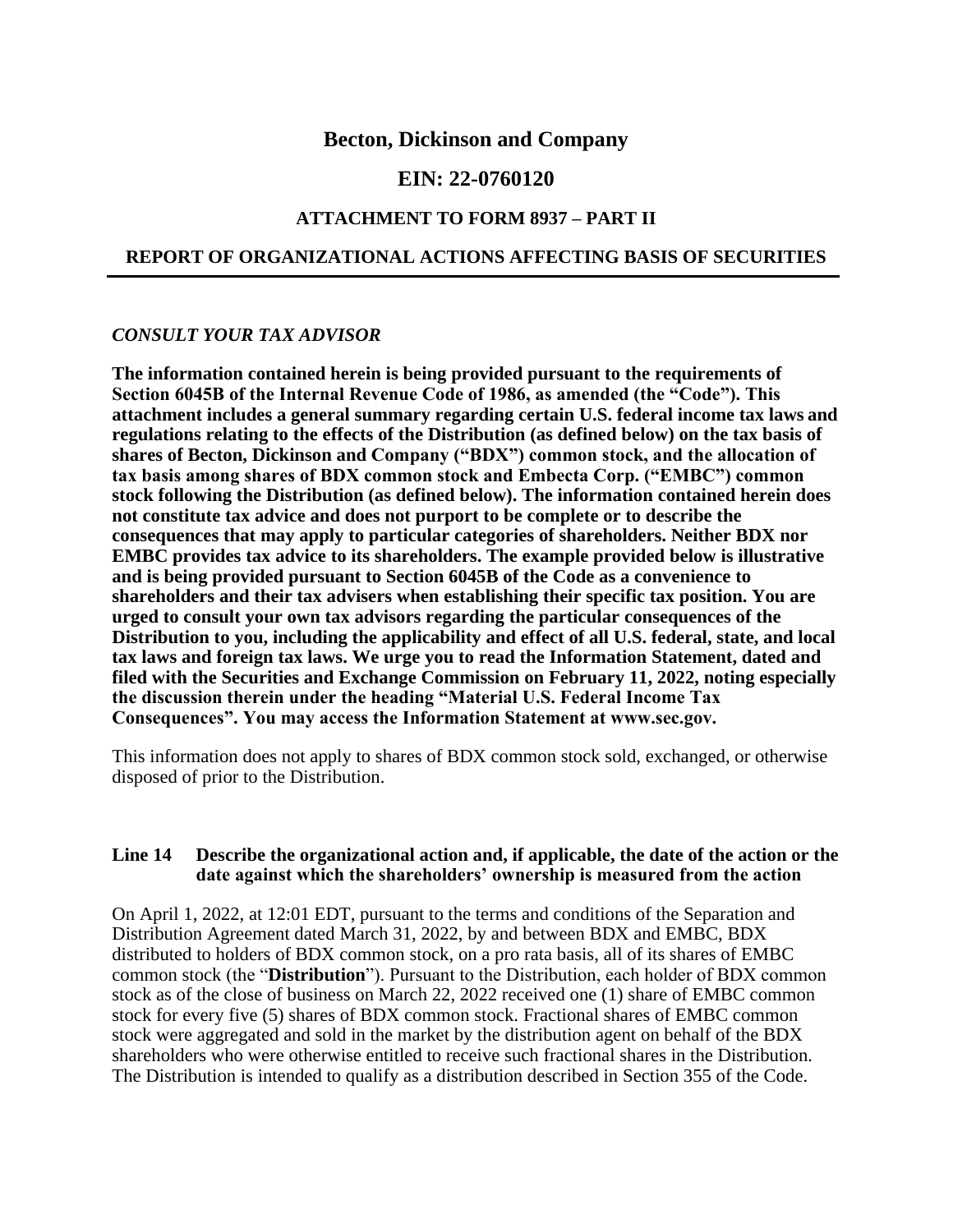### **Becton, Dickinson and Company**

## **EIN: 22-0760120**

#### **ATTACHMENT TO FORM 8937 – PART II**

### **REPORT OF ORGANIZATIONAL ACTIONS AFFECTING BASIS OF SECURITIES**

## *CONSULT YOUR TAX ADVISOR*

**The information contained herein is being provided pursuant to the requirements of Section 6045B of the Internal Revenue Code of 1986, as amended (the "Code"). This attachment includes a general summary regarding certain U.S. federal income tax laws and regulations relating to the effects of the Distribution (as defined below) on the tax basis of shares of Becton, Dickinson and Company ("BDX") common stock, and the allocation of tax basis among shares of BDX common stock and Embecta Corp. ("EMBC") common stock following the Distribution (as defined below). The information contained herein does not constitute tax advice and does not purport to be complete or to describe the consequences that may apply to particular categories of shareholders. Neither BDX nor EMBC provides tax advice to its shareholders. The example provided below is illustrative and is being provided pursuant to Section 6045B of the Code as a convenience to shareholders and their tax advisers when establishing their specific tax position. You are urged to consult your own tax advisors regarding the particular consequences of the Distribution to you, including the applicability and effect of all U.S. federal, state, and local tax laws and foreign tax laws. We urge you to read the Information Statement, dated and filed with the Securities and Exchange Commission on February 11, 2022, noting especially the discussion therein under the heading "Material U.S. Federal Income Tax Consequences". You may access the Information Statement at www.sec.gov.**

This information does not apply to shares of BDX common stock sold, exchanged, or otherwise disposed of prior to the Distribution.

#### **Line 14 Describe the organizational action and, if applicable, the date of the action or the date against which the shareholders' ownership is measured from the action**

On April 1, 2022, at 12:01 EDT, pursuant to the terms and conditions of the Separation and Distribution Agreement dated March 31, 2022, by and between BDX and EMBC, BDX distributed to holders of BDX common stock, on a pro rata basis, all of its shares of EMBC common stock (the "**Distribution**"). Pursuant to the Distribution, each holder of BDX common stock as of the close of business on March 22, 2022 received one (1) share of EMBC common stock for every five (5) shares of BDX common stock. Fractional shares of EMBC common stock were aggregated and sold in the market by the distribution agent on behalf of the BDX shareholders who were otherwise entitled to receive such fractional shares in the Distribution. The Distribution is intended to qualify as a distribution described in Section 355 of the Code.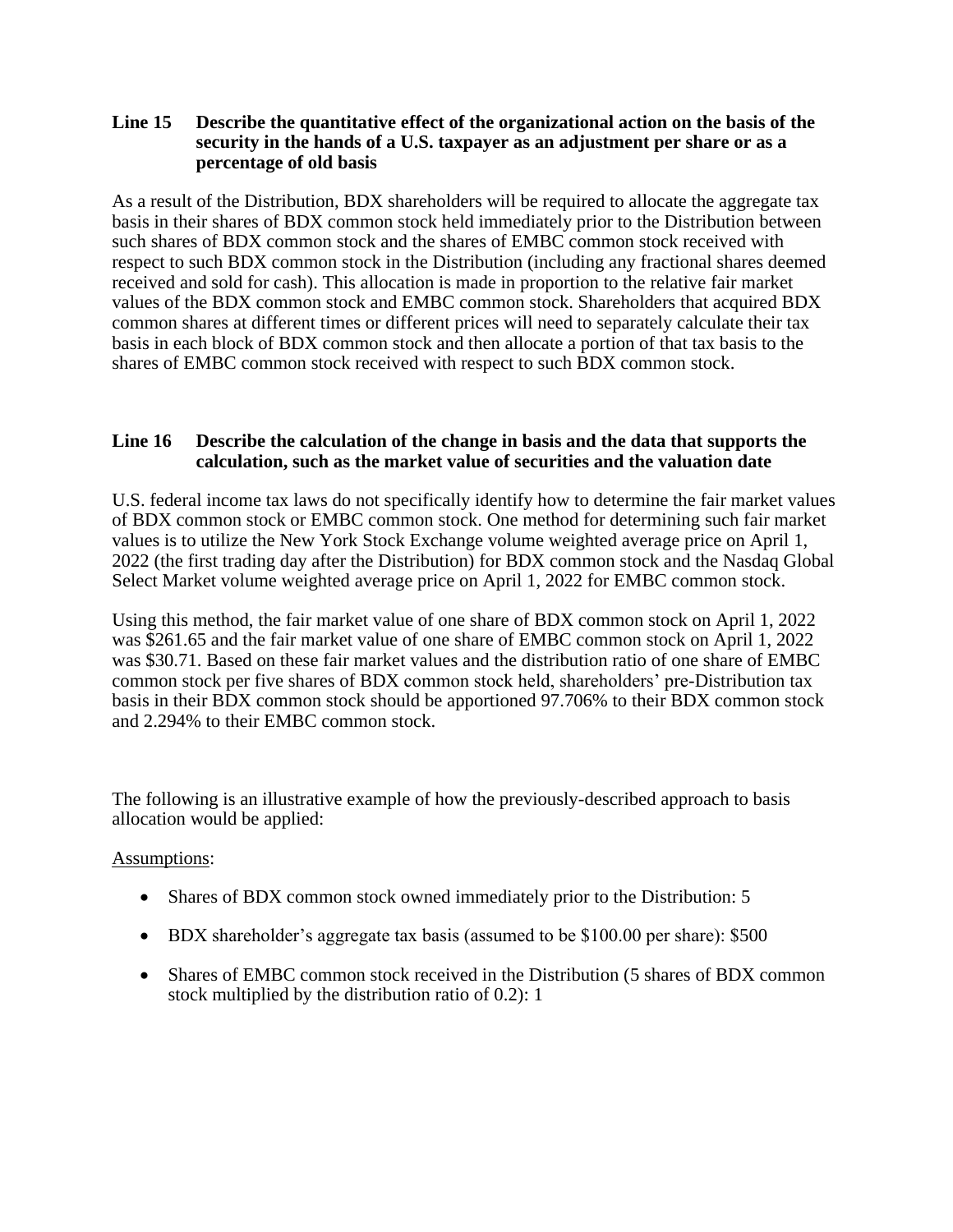### **Line 15 Describe the quantitative effect of the organizational action on the basis of the security in the hands of a U.S. taxpayer as an adjustment per share or as a percentage of old basis**

As a result of the Distribution, BDX shareholders will be required to allocate the aggregate tax basis in their shares of BDX common stock held immediately prior to the Distribution between such shares of BDX common stock and the shares of EMBC common stock received with respect to such BDX common stock in the Distribution (including any fractional shares deemed received and sold for cash). This allocation is made in proportion to the relative fair market values of the BDX common stock and EMBC common stock. Shareholders that acquired BDX common shares at different times or different prices will need to separately calculate their tax basis in each block of BDX common stock and then allocate a portion of that tax basis to the shares of EMBC common stock received with respect to such BDX common stock.

## **Line 16 Describe the calculation of the change in basis and the data that supports the calculation, such as the market value of securities and the valuation date**

U.S. federal income tax laws do not specifically identify how to determine the fair market values of BDX common stock or EMBC common stock. One method for determining such fair market values is to utilize the New York Stock Exchange volume weighted average price on April 1, 2022 (the first trading day after the Distribution) for BDX common stock and the Nasdaq Global Select Market volume weighted average price on April 1, 2022 for EMBC common stock.

Using this method, the fair market value of one share of BDX common stock on April 1, 2022 was \$261.65 and the fair market value of one share of EMBC common stock on April 1, 2022 was \$30.71. Based on these fair market values and the distribution ratio of one share of EMBC common stock per five shares of BDX common stock held, shareholders' pre-Distribution tax basis in their BDX common stock should be apportioned 97.706% to their BDX common stock and 2.294% to their EMBC common stock.

The following is an illustrative example of how the previously-described approach to basis allocation would be applied:

### Assumptions:

- Shares of BDX common stock owned immediately prior to the Distribution: 5
- BDX shareholder's aggregate tax basis (assumed to be \$100.00 per share): \$500
- Shares of EMBC common stock received in the Distribution (5 shares of BDX common stock multiplied by the distribution ratio of 0.2): 1